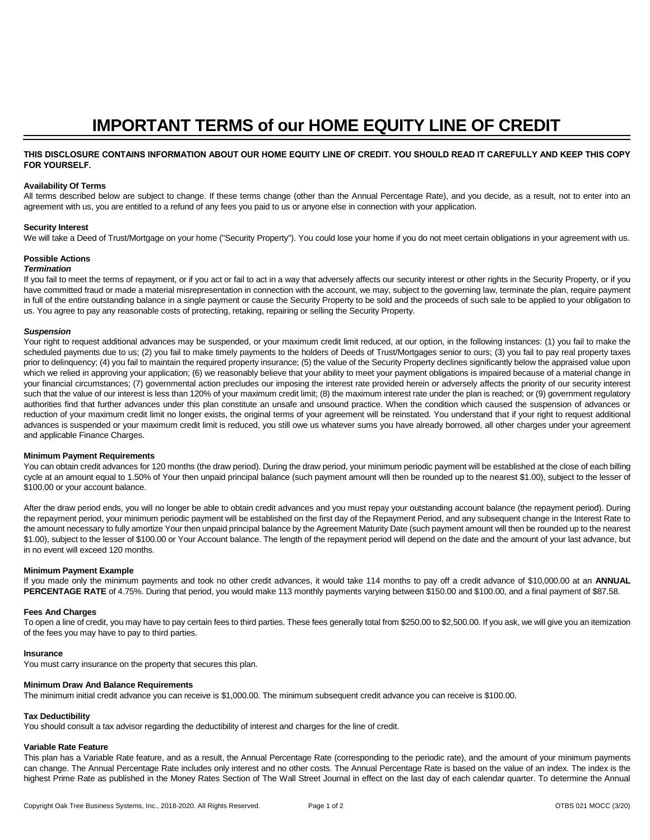# **IMPORTANT TERMS of our HOME EQUITY LINE OF CREDIT**

# **THIS DISCLOSURE CONTAINS INFORMATION ABOUT OUR HOME EQUITY LINE OF CREDIT. YOU SHOULD READ IT CAREFULLY AND KEEP THIS COPY FOR YOURSELF.**

# **Availability Of Terms**

All terms described below are subject to change. If these terms change (other than the Annual Percentage Rate), and you decide, as a result, not to enter into an agreement with us, you are entitled to a refund of any fees you paid to us or anyone else in connection with your application.

#### **Security Interest**

We will take a Deed of Trust/Mortgage on your home ("Security Property"). You could lose your home if you do not meet certain obligations in your agreement with us.

# **Possible Actions**

## *Termination*

If you fail to meet the terms of repayment, or if you act or fail to act in a way that adversely affects our security interest or other rights in the Security Property, or if you have committed fraud or made a material misrepresentation in connection with the account, we may, subject to the governing law, terminate the plan, require payment in full of the entire outstanding balance in a single payment or cause the Security Property to be sold and the proceeds of such sale to be applied to your obligation to us. You agree to pay any reasonable costs of protecting, retaking, repairing or selling the Security Property.

## *Suspension*

Your right to request additional advances may be suspended, or your maximum credit limit reduced, at our option, in the following instances: (1) you fail to make the scheduled payments due to us; (2) you fail to make timely payments to the holders of Deeds of Trust/Mortgages senior to ours; (3) you fail to pay real property taxes prior to delinquency; (4) you fail to maintain the required property insurance; (5) the value of the Security Property declines significantly below the appraised value upon which we relied in approving your application; (6) we reasonably believe that your ability to meet your payment obligations is impaired because of a material change in your financial circumstances; (7) governmental action precludes our imposing the interest rate provided herein or adversely affects the priority of our security interest such that the value of our interest is less than 120% of your maximum credit limit; (8) the maximum interest rate under the plan is reached; or (9) government regulatory authorities find that further advances under this plan constitute an unsafe and unsound practice. When the condition which caused the suspension of advances or reduction of your maximum credit limit no longer exists, the original terms of your agreement will be reinstated. You understand that if your right to request additional advances is suspended or your maximum credit limit is reduced, you still owe us whatever sums you have already borrowed, all other charges under your agreement and applicable Finance Charges.

#### **Minimum Payment Requirements**

You can obtain credit advances for 120 months (the draw period). During the draw period, your minimum periodic payment will be established at the close of each billing cycle at an amount equal to 1.50% of Your then unpaid principal balance (such payment amount will then be rounded up to the nearest \$1.00), subject to the lesser of \$100.00 or your account balance.

After the draw period ends, you will no longer be able to obtain credit advances and you must repay your outstanding account balance (the repayment period). During the repayment period, your minimum periodic payment will be established on the first day of the Repayment Period, and any subsequent change in the Interest Rate to the amount necessary to fully amortize Your then unpaid principal balance by the Agreement Maturity Date (such payment amount will then be rounded up to the nearest \$1.00), subject to the lesser of \$100.00 or Your Account balance. The length of the repayment period will depend on the date and the amount of your last advance, but in no event will exceed 120 months.

#### **Minimum Payment Example**

If you made only the minimum payments and took no other credit advances, it would take 114 months to pay off a credit advance of \$10,000.00 at an **ANNUAL PERCENTAGE RATE** of 4.75%. During that period, you would make 113 monthly payments varying between \$150.00 and \$100.00, and a final payment of \$87.58.

#### **Fees And Charges**

To open a line of credit, you may have to pay certain fees to third parties. These fees generally total from \$250.00 to \$2,500.00. If you ask, we will give you an itemization of the fees you may have to pay to third parties.

#### **Insurance**

You must carry insurance on the property that secures this plan.

#### **Minimum Draw And Balance Requirements**

The minimum initial credit advance you can receive is \$1,000.00. The minimum subsequent credit advance you can receive is \$100.00.

#### **Tax Deductibility**

You should consult a tax advisor regarding the deductibility of interest and charges for the line of credit.

#### **Variable Rate Feature**

This plan has a Variable Rate feature, and as a result, the Annual Percentage Rate (corresponding to the periodic rate), and the amount of your minimum payments can change. The Annual Percentage Rate includes only interest and no other costs. The Annual Percentage Rate is based on the value of an index. The index is the highest Prime Rate as published in the Money Rates Section of The Wall Street Journal in effect on the last day of each calendar quarter. To determine the Annual